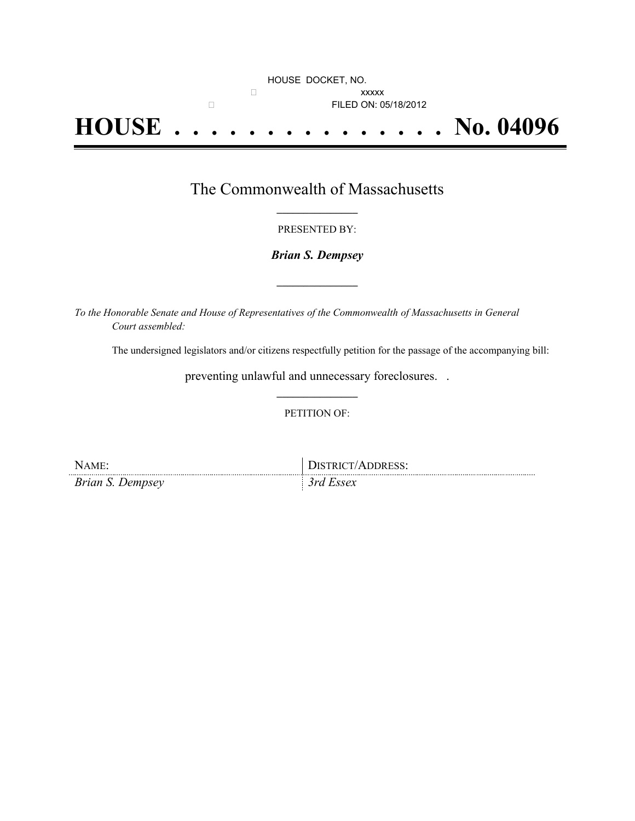## HOUSE DOCKET, NO.  $\Box$ □ **FILED ON: 05/18/2012 HOUSE . . . . . . . . . . . . . . . No. 04096**

## The Commonwealth of Massachusetts **\_\_\_\_\_\_\_\_\_\_\_\_\_\_\_**

#### PRESENTED BY:

### *Brian S. Dempsey*

**\_\_\_\_\_\_\_\_\_\_\_\_\_\_\_**

*To the Honorable Senate and House of Representatives of the Commonwealth of Massachusetts in General Court assembled:*

The undersigned legislators and/or citizens respectfully petition for the passage of the accompanying bill:

preventing unlawful and unnecessary foreclosures. . **\_\_\_\_\_\_\_\_\_\_\_\_\_\_\_**

PETITION OF:

| NAME:            | <b>DISTRICT/ADDRESS:</b> |
|------------------|--------------------------|
| Brian S. Dempsey | $3rd$ Essex              |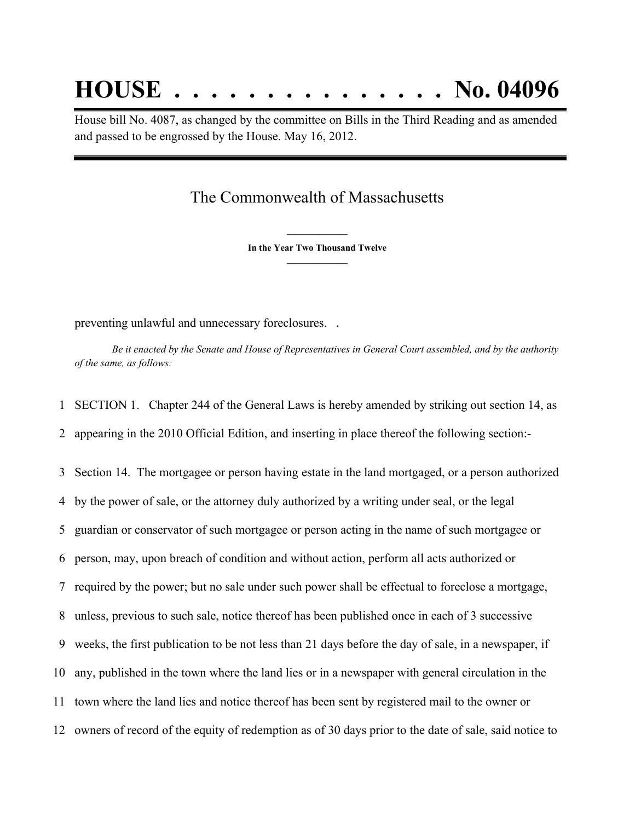# **HOUSE . . . . . . . . . . . . . . . No. 04096**

House bill No. 4087, as changed by the committee on Bills in the Third Reading and as amended and passed to be engrossed by the House. May 16, 2012.

## The Commonwealth of Massachusetts

**\_\_\_\_\_\_\_\_\_\_\_\_\_\_\_ In the Year Two Thousand Twelve \_\_\_\_\_\_\_\_\_\_\_\_\_\_\_**

preventing unlawful and unnecessary foreclosures. .

Be it enacted by the Senate and House of Representatives in General Court assembled, and by the authority *of the same, as follows:*

1 SECTION 1. Chapter 244 of the General Laws is hereby amended by striking out section 14, as 2 appearing in the 2010 Official Edition, and inserting in place thereof the following section:-

 Section 14. The mortgagee or person having estate in the land mortgaged, or a person authorized by the power of sale, or the attorney duly authorized by a writing under seal, or the legal guardian or conservator of such mortgagee or person acting in the name of such mortgagee or person, may, upon breach of condition and without action, perform all acts authorized or required by the power; but no sale under such power shall be effectual to foreclose a mortgage, unless, previous to such sale, notice thereof has been published once in each of 3 successive weeks, the first publication to be not less than 21 days before the day of sale, in a newspaper, if any, published in the town where the land lies or in a newspaper with general circulation in the town where the land lies and notice thereof has been sent by registered mail to the owner or owners of record of the equity of redemption as of 30 days prior to the date of sale, said notice to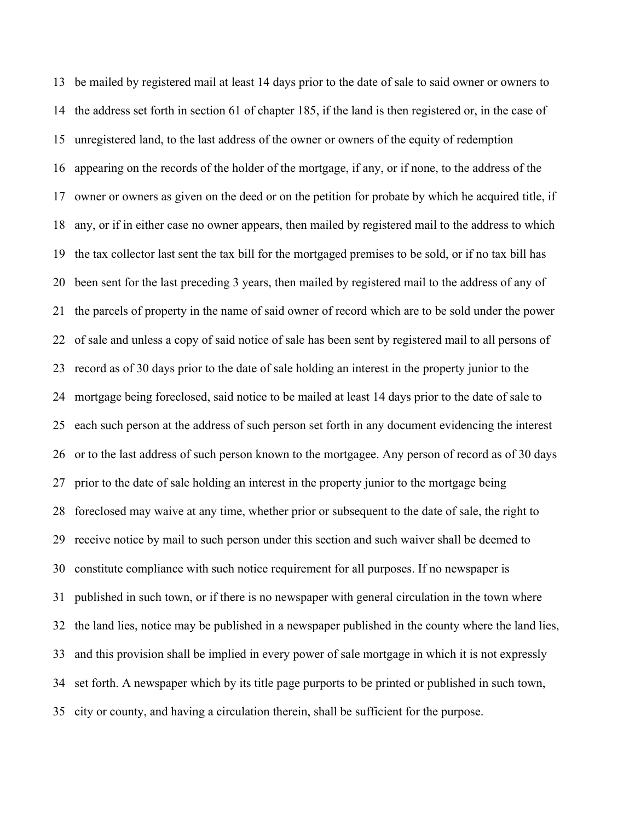be mailed by registered mail at least 14 days prior to the date of sale to said owner or owners to the address set forth in section 61 of chapter 185, if the land is then registered or, in the case of unregistered land, to the last address of the owner or owners of the equity of redemption appearing on the records of the holder of the mortgage, if any, or if none, to the address of the owner or owners as given on the deed or on the petition for probate by which he acquired title, if any, or if in either case no owner appears, then mailed by registered mail to the address to which the tax collector last sent the tax bill for the mortgaged premises to be sold, or if no tax bill has been sent for the last preceding 3 years, then mailed by registered mail to the address of any of the parcels of property in the name of said owner of record which are to be sold under the power of sale and unless a copy of said notice of sale has been sent by registered mail to all persons of record as of 30 days prior to the date of sale holding an interest in the property junior to the mortgage being foreclosed, said notice to be mailed at least 14 days prior to the date of sale to each such person at the address of such person set forth in any document evidencing the interest or to the last address of such person known to the mortgagee. Any person of record as of 30 days prior to the date of sale holding an interest in the property junior to the mortgage being foreclosed may waive at any time, whether prior or subsequent to the date of sale, the right to receive notice by mail to such person under this section and such waiver shall be deemed to constitute compliance with such notice requirement for all purposes. If no newspaper is published in such town, or if there is no newspaper with general circulation in the town where the land lies, notice may be published in a newspaper published in the county where the land lies, and this provision shall be implied in every power of sale mortgage in which it is not expressly set forth. A newspaper which by its title page purports to be printed or published in such town, city or county, and having a circulation therein, shall be sufficient for the purpose.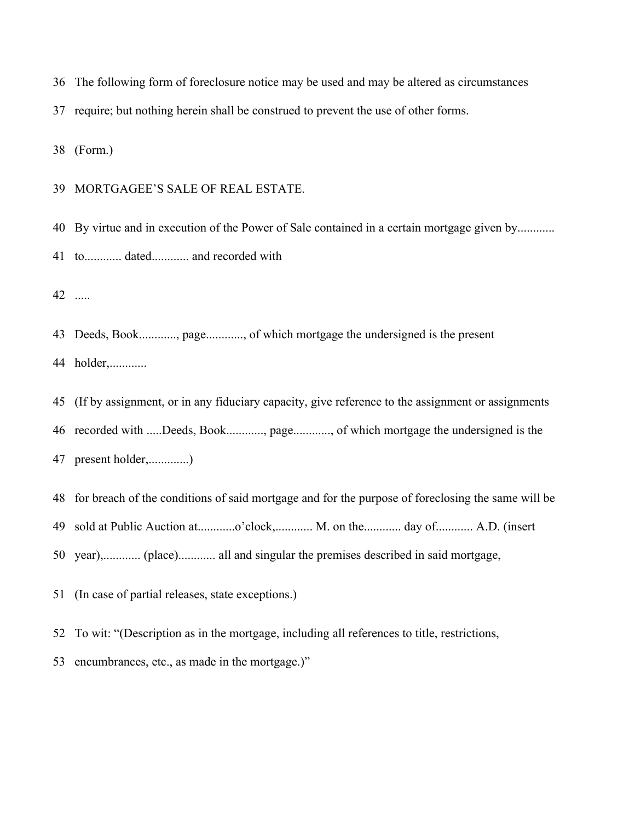The following form of foreclosure notice may be used and may be altered as circumstances

require; but nothing herein shall be construed to prevent the use of other forms.

(Form.)

#### MORTGAGEE'S SALE OF REAL ESTATE.

By virtue and in execution of the Power of Sale contained in a certain mortgage given by............

to............ dated............ and recorded with

.....

Deeds, Book............, page............, of which mortgage the undersigned is the present

44 holder,.............

(If by assignment, or in any fiduciary capacity, give reference to the assignment or assignments

recorded with .....Deeds, Book............, page............, of which mortgage the undersigned is the

present holder,.............)

for breach of the conditions of said mortgage and for the purpose of foreclosing the same will be

49 sold at Public Auction at.............o'clock,............. M. on the............. day of............ A.D. (insert

year),............ (place)............ all and singular the premises described in said mortgage,

(In case of partial releases, state exceptions.)

To wit: "(Description as in the mortgage, including all references to title, restrictions,

encumbrances, etc., as made in the mortgage.)"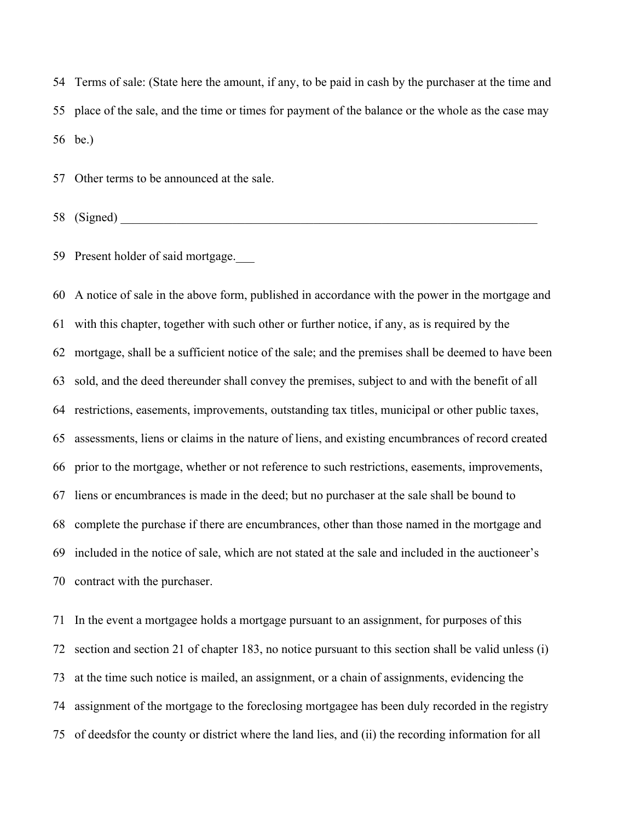Terms of sale: (State here the amount, if any, to be paid in cash by the purchaser at the time and place of the sale, and the time or times for payment of the balance or the whole as the case may be.)

Other terms to be announced at the sale.

 $58 \text{ (Signed)}$ 

59 Present holder of said mortgage.

 A notice of sale in the above form, published in accordance with the power in the mortgage and with this chapter, together with such other or further notice, if any, as is required by the mortgage, shall be a sufficient notice of the sale; and the premises shall be deemed to have been sold, and the deed thereunder shall convey the premises, subject to and with the benefit of all restrictions, easements, improvements, outstanding tax titles, municipal or other public taxes, assessments, liens or claims in the nature of liens, and existing encumbrances of record created prior to the mortgage, whether or not reference to such restrictions, easements, improvements, liens or encumbrances is made in the deed; but no purchaser at the sale shall be bound to complete the purchase if there are encumbrances, other than those named in the mortgage and included in the notice of sale, which are not stated at the sale and included in the auctioneer's contract with the purchaser.

 In the event a mortgagee holds a mortgage pursuant to an assignment, for purposes of this section and section 21 of chapter 183, no notice pursuant to this section shall be valid unless (i) at the time such notice is mailed, an assignment, or a chain of assignments, evidencing the assignment of the mortgage to the foreclosing mortgagee has been duly recorded in the registry of deedsfor the county or district where the land lies, and (ii) the recording information for all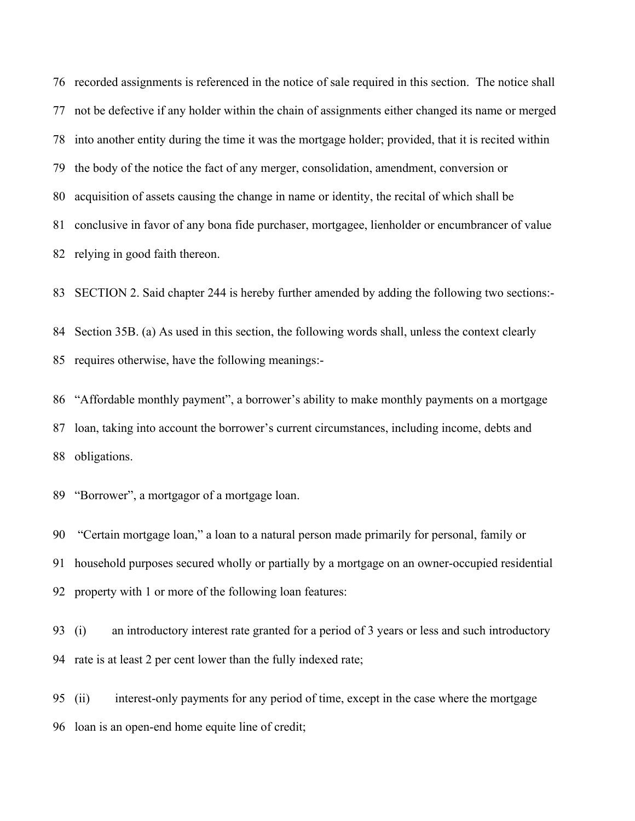recorded assignments is referenced in the notice of sale required in this section. The notice shall not be defective if any holder within the chain of assignments either changed its name or merged into another entity during the time it was the mortgage holder; provided, that it is recited within the body of the notice the fact of any merger, consolidation, amendment, conversion or acquisition of assets causing the change in name or identity, the recital of which shall be conclusive in favor of any bona fide purchaser, mortgagee, lienholder or encumbrancer of value relying in good faith thereon.

SECTION 2. Said chapter 244 is hereby further amended by adding the following two sections:-

 Section 35B. (a) As used in this section, the following words shall, unless the context clearly requires otherwise, have the following meanings:-

 "Affordable monthly payment", a borrower's ability to make monthly payments on a mortgage loan, taking into account the borrower's current circumstances, including income, debts and obligations.

"Borrower", a mortgagor of a mortgage loan.

 "Certain mortgage loan," a loan to a natural person made primarily for personal, family or household purposes secured wholly or partially by a mortgage on an owner-occupied residential property with 1 or more of the following loan features:

 (i) an introductory interest rate granted for a period of 3 years or less and such introductory rate is at least 2 per cent lower than the fully indexed rate;

 (ii) interest-only payments for any period of time, except in the case where the mortgage loan is an open-end home equite line of credit;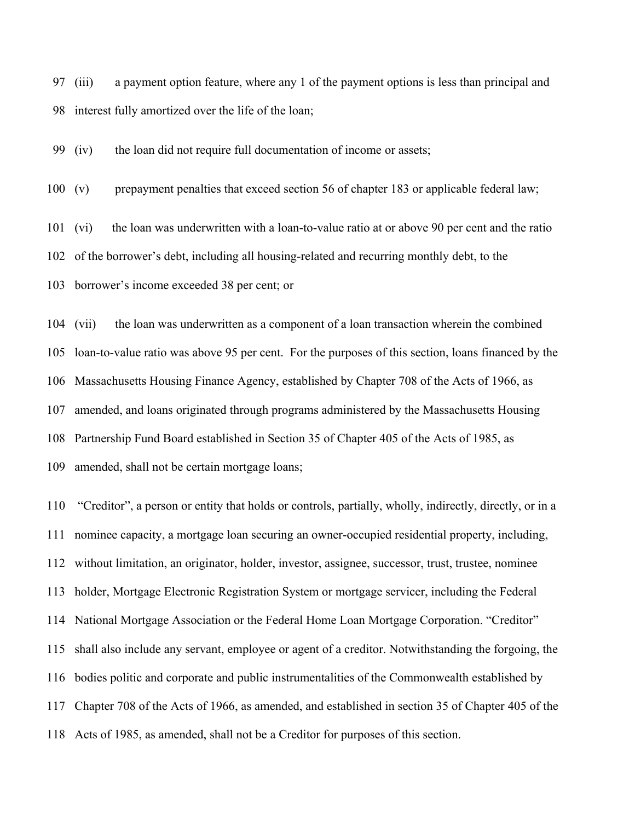(iii) a payment option feature, where any 1 of the payment options is less than principal and interest fully amortized over the life of the loan;

(iv) the loan did not require full documentation of income or assets;

(v) prepayment penalties that exceed section 56 of chapter 183 or applicable federal law;

(vi) the loan was underwritten with a loan-to-value ratio at or above 90 per cent and the ratio

of the borrower's debt, including all housing-related and recurring monthly debt, to the

borrower's income exceeded 38 per cent; or

 (vii) the loan was underwritten as a component of a loan transaction wherein the combined loan-to-value ratio was above 95 per cent. For the purposes of this section, loans financed by the Massachusetts Housing Finance Agency, established by Chapter 708 of the Acts of 1966, as amended, and loans originated through programs administered by the Massachusetts Housing Partnership Fund Board established in Section 35 of Chapter 405 of the Acts of 1985, as amended, shall not be certain mortgage loans;

 "Creditor", a person or entity that holds or controls, partially, wholly, indirectly, directly, or in a nominee capacity, a mortgage loan securing an owner-occupied residential property, including, without limitation, an originator, holder, investor, assignee, successor, trust, trustee, nominee holder, Mortgage Electronic Registration System or mortgage servicer, including the Federal National Mortgage Association or the Federal Home Loan Mortgage Corporation. "Creditor" shall also include any servant, employee or agent of a creditor. Notwithstanding the forgoing, the bodies politic and corporate and public instrumentalities of the Commonwealth established by Chapter 708 of the Acts of 1966, as amended, and established in section 35 of Chapter 405 of the Acts of 1985, as amended, shall not be a Creditor for purposes of this section.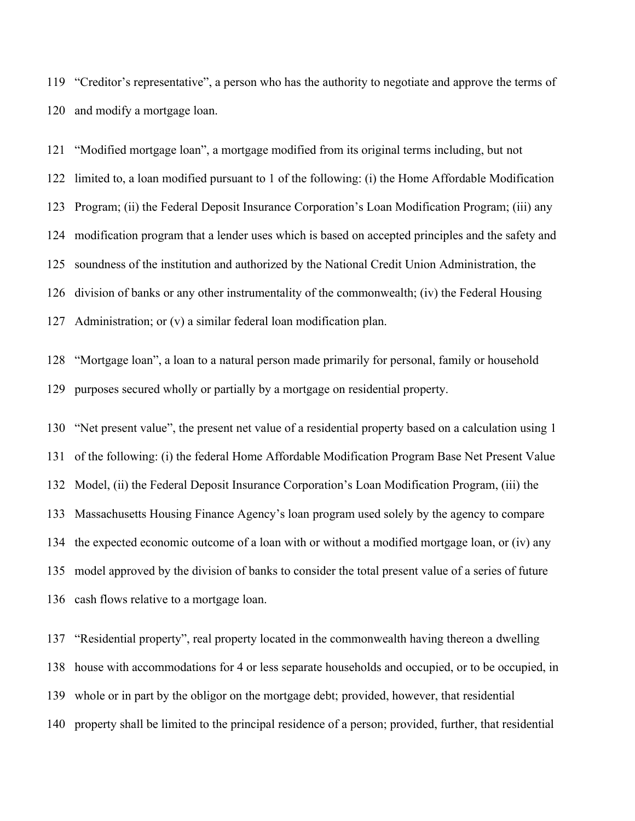"Creditor's representative", a person who has the authority to negotiate and approve the terms of and modify a mortgage loan.

 "Modified mortgage loan", a mortgage modified from its original terms including, but not limited to, a loan modified pursuant to 1 of the following: (i) the Home Affordable Modification Program; (ii) the Federal Deposit Insurance Corporation's Loan Modification Program; (iii) any modification program that a lender uses which is based on accepted principles and the safety and soundness of the institution and authorized by the National Credit Union Administration, the division of banks or any other instrumentality of the commonwealth; (iv) the Federal Housing Administration; or (v) a similar federal loan modification plan.

 "Mortgage loan", a loan to a natural person made primarily for personal, family or household purposes secured wholly or partially by a mortgage on residential property.

 "Net present value", the present net value of a residential property based on a calculation using 1 of the following: (i) the federal Home Affordable Modification Program Base Net Present Value Model, (ii) the Federal Deposit Insurance Corporation's Loan Modification Program, (iii) the Massachusetts Housing Finance Agency's loan program used solely by the agency to compare the expected economic outcome of a loan with or without a modified mortgage loan, or (iv) any model approved by the division of banks to consider the total present value of a series of future cash flows relative to a mortgage loan.

 "Residential property", real property located in the commonwealth having thereon a dwelling house with accommodations for 4 or less separate households and occupied, or to be occupied, in whole or in part by the obligor on the mortgage debt; provided, however, that residential property shall be limited to the principal residence of a person; provided, further, that residential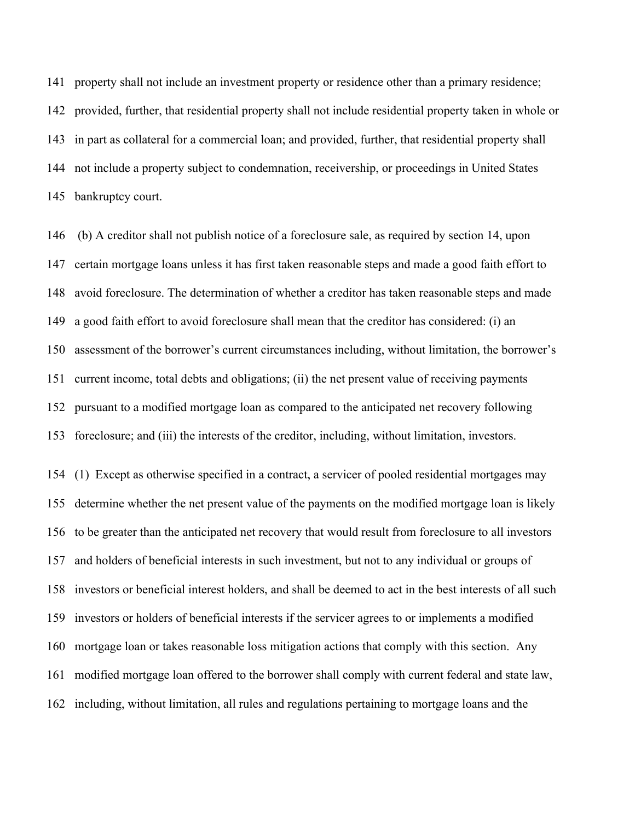property shall not include an investment property or residence other than a primary residence; provided, further, that residential property shall not include residential property taken in whole or in part as collateral for a commercial loan; and provided, further, that residential property shall not include a property subject to condemnation, receivership, or proceedings in United States bankruptcy court.

 (b) A creditor shall not publish notice of a foreclosure sale, as required by section 14, upon certain mortgage loans unless it has first taken reasonable steps and made a good faith effort to avoid foreclosure. The determination of whether a creditor has taken reasonable steps and made a good faith effort to avoid foreclosure shall mean that the creditor has considered: (i) an assessment of the borrower's current circumstances including, without limitation, the borrower's current income, total debts and obligations; (ii) the net present value of receiving payments pursuant to a modified mortgage loan as compared to the anticipated net recovery following foreclosure; and (iii) the interests of the creditor, including, without limitation, investors.

 (1) Except as otherwise specified in a contract, a servicer of pooled residential mortgages may determine whether the net present value of the payments on the modified mortgage loan is likely to be greater than the anticipated net recovery that would result from foreclosure to all investors and holders of beneficial interests in such investment, but not to any individual or groups of investors or beneficial interest holders, and shall be deemed to act in the best interests of all such investors or holders of beneficial interests if the servicer agrees to or implements a modified mortgage loan or takes reasonable loss mitigation actions that comply with this section. Any modified mortgage loan offered to the borrower shall comply with current federal and state law, including, without limitation, all rules and regulations pertaining to mortgage loans and the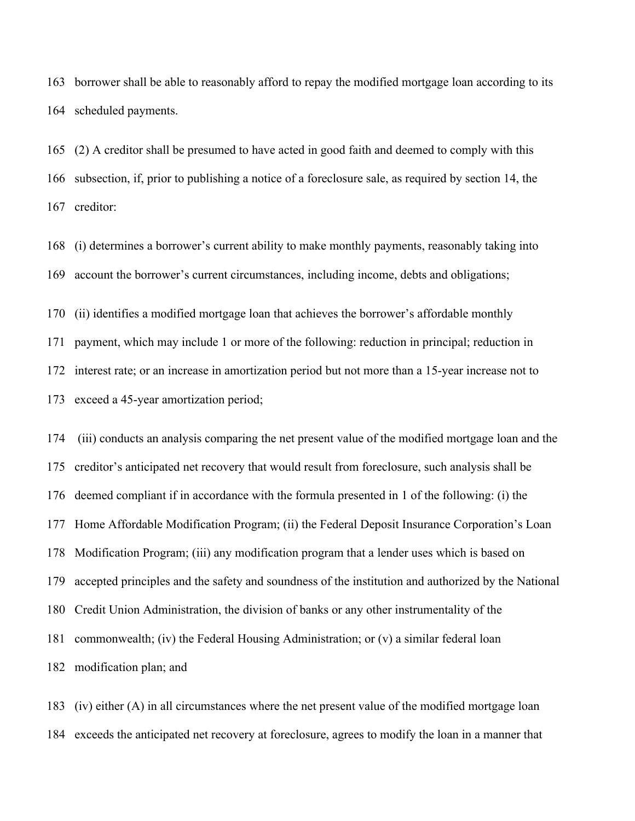borrower shall be able to reasonably afford to repay the modified mortgage loan according to its scheduled payments.

 (2) A creditor shall be presumed to have acted in good faith and deemed to comply with this subsection, if, prior to publishing a notice of a foreclosure sale, as required by section 14, the creditor:

 (i) determines a borrower's current ability to make monthly payments, reasonably taking into account the borrower's current circumstances, including income, debts and obligations;

 (ii) identifies a modified mortgage loan that achieves the borrower's affordable monthly payment, which may include 1 or more of the following: reduction in principal; reduction in interest rate; or an increase in amortization period but not more than a 15-year increase not to exceed a 45-year amortization period;

 (iii) conducts an analysis comparing the net present value of the modified mortgage loan and the creditor's anticipated net recovery that would result from foreclosure, such analysis shall be deemed compliant if in accordance with the formula presented in 1 of the following: (i) the Home Affordable Modification Program; (ii) the Federal Deposit Insurance Corporation's Loan Modification Program; (iii) any modification program that a lender uses which is based on accepted principles and the safety and soundness of the institution and authorized by the National Credit Union Administration, the division of banks or any other instrumentality of the commonwealth; (iv) the Federal Housing Administration; or (v) a similar federal loan modification plan; and

 (iv) either (A) in all circumstances where the net present value of the modified mortgage loan exceeds the anticipated net recovery at foreclosure, agrees to modify the loan in a manner that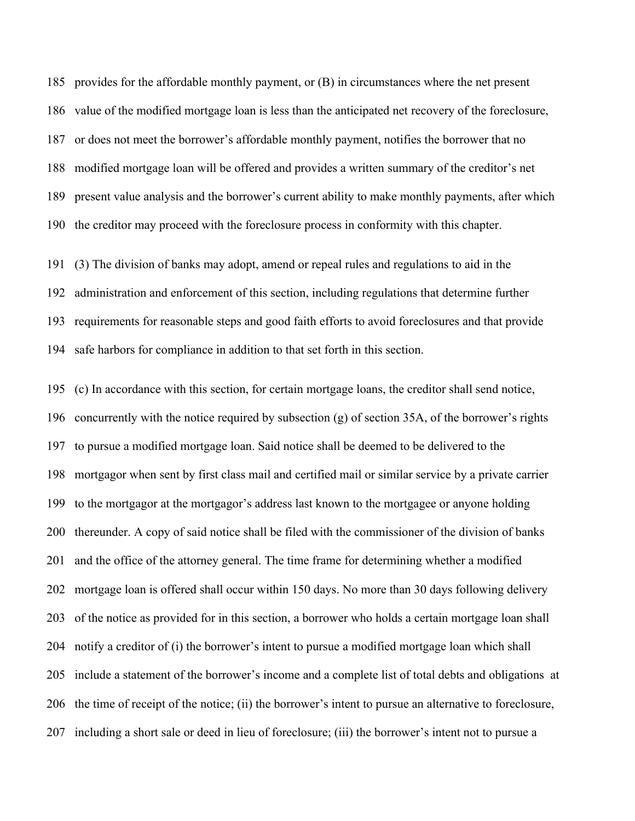provides for the affordable monthly payment, or (B) in circumstances where the net present value of the modified mortgage loan is less than the anticipated net recovery of the foreclosure, or does not meet the borrower's affordable monthly payment, notifies the borrower that no modified mortgage loan will be offered and provides a written summary of the creditor's net present value analysis and the borrower's current ability to make monthly payments, after which the creditor may proceed with the foreclosure process in conformity with this chapter.

 (3) The division of banks may adopt, amend or repeal rules and regulations to aid in the administration and enforcement of this section, including regulations that determine further requirements for reasonable steps and good faith efforts to avoid foreclosures and that provide safe harbors for compliance in addition to that set forth in this section.

 (c) In accordance with this section, for certain mortgage loans, the creditor shall send notice, concurrently with the notice required by subsection (g) of section 35A, of the borrower's rights to pursue a modified mortgage loan. Said notice shall be deemed to be delivered to the mortgagor when sent by first class mail and certified mail or similar service by a private carrier to the mortgagor at the mortgagor's address last known to the mortgagee or anyone holding thereunder. A copy of said notice shall be filed with the commissioner of the division of banks and the office of the attorney general. The time frame for determining whether a modified mortgage loan is offered shall occur within 150 days. No more than 30 days following delivery of the notice as provided for in this section, a borrower who holds a certain mortgage loan shall notify a creditor of (i) the borrower's intent to pursue a modified mortgage loan which shall include a statement of the borrower's income and a complete list of total debts and obligations at the time of receipt of the notice; (ii) the borrower's intent to pursue an alternative to foreclosure, including a short sale or deed in lieu of foreclosure; (iii) the borrower's intent not to pursue a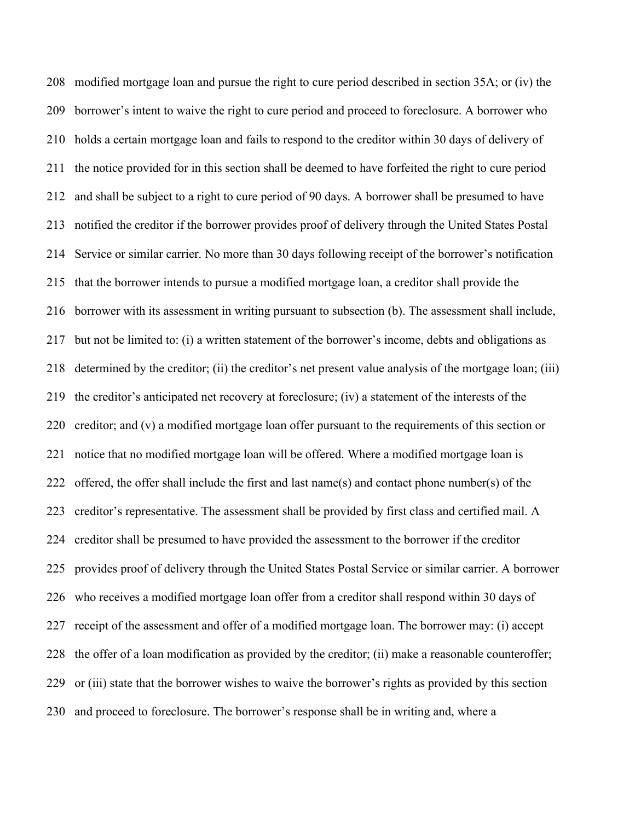modified mortgage loan and pursue the right to cure period described in section 35A; or (iv) the borrower's intent to waive the right to cure period and proceed to foreclosure. A borrower who holds a certain mortgage loan and fails to respond to the creditor within 30 days of delivery of the notice provided for in this section shall be deemed to have forfeited the right to cure period and shall be subject to a right to cure period of 90 days. A borrower shall be presumed to have notified the creditor if the borrower provides proof of delivery through the United States Postal Service or similar carrier. No more than 30 days following receipt of the borrower's notification that the borrower intends to pursue a modified mortgage loan, a creditor shall provide the borrower with its assessment in writing pursuant to subsection (b). The assessment shall include, but not be limited to: (i) a written statement of the borrower's income, debts and obligations as determined by the creditor; (ii) the creditor's net present value analysis of the mortgage loan; (iii) the creditor's anticipated net recovery at foreclosure; (iv) a statement of the interests of the creditor; and (v) a modified mortgage loan offer pursuant to the requirements of this section or notice that no modified mortgage loan will be offered. Where a modified mortgage loan is offered, the offer shall include the first and last name(s) and contact phone number(s) of the creditor's representative. The assessment shall be provided by first class and certified mail. A creditor shall be presumed to have provided the assessment to the borrower if the creditor provides proof of delivery through the United States Postal Service or similar carrier. A borrower who receives a modified mortgage loan offer from a creditor shall respond within 30 days of receipt of the assessment and offer of a modified mortgage loan. The borrower may: (i) accept the offer of a loan modification as provided by the creditor; (ii) make a reasonable counteroffer; or (iii) state that the borrower wishes to waive the borrower's rights as provided by this section and proceed to foreclosure. The borrower's response shall be in writing and, where a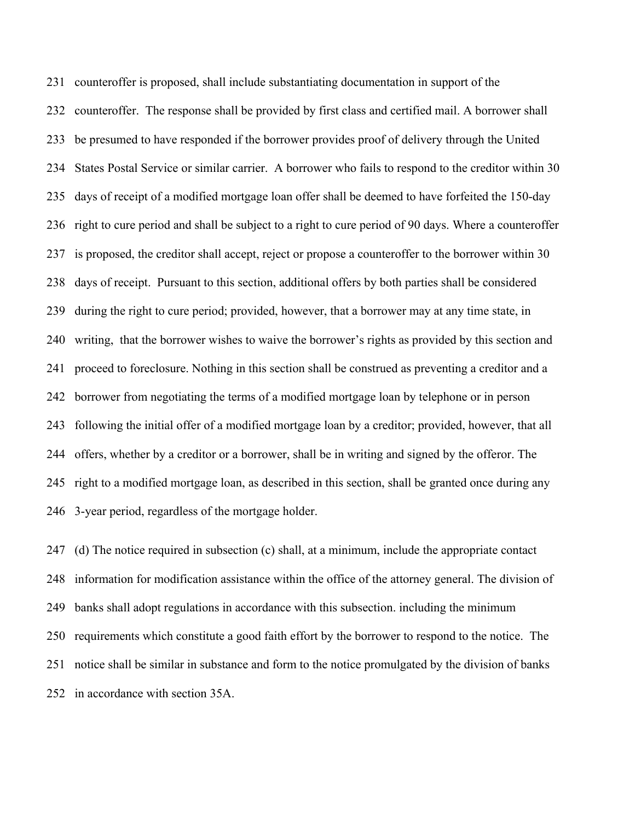counteroffer is proposed, shall include substantiating documentation in support of the counteroffer. The response shall be provided by first class and certified mail. A borrower shall be presumed to have responded if the borrower provides proof of delivery through the United States Postal Service or similar carrier. A borrower who fails to respond to the creditor within 30 days of receipt of a modified mortgage loan offer shall be deemed to have forfeited the 150-day right to cure period and shall be subject to a right to cure period of 90 days. Where a counteroffer is proposed, the creditor shall accept, reject or propose a counteroffer to the borrower within 30 days of receipt. Pursuant to this section, additional offers by both parties shall be considered during the right to cure period; provided, however, that a borrower may at any time state, in writing, that the borrower wishes to waive the borrower's rights as provided by this section and proceed to foreclosure. Nothing in this section shall be construed as preventing a creditor and a borrower from negotiating the terms of a modified mortgage loan by telephone or in person following the initial offer of a modified mortgage loan by a creditor; provided, however, that all offers, whether by a creditor or a borrower, shall be in writing and signed by the offeror. The right to a modified mortgage loan, as described in this section, shall be granted once during any 3-year period, regardless of the mortgage holder.

 (d) The notice required in subsection (c) shall, at a minimum, include the appropriate contact information for modification assistance within the office of the attorney general. The division of banks shall adopt regulations in accordance with this subsection. including the minimum requirements which constitute a good faith effort by the borrower to respond to the notice. The notice shall be similar in substance and form to the notice promulgated by the division of banks in accordance with section 35A.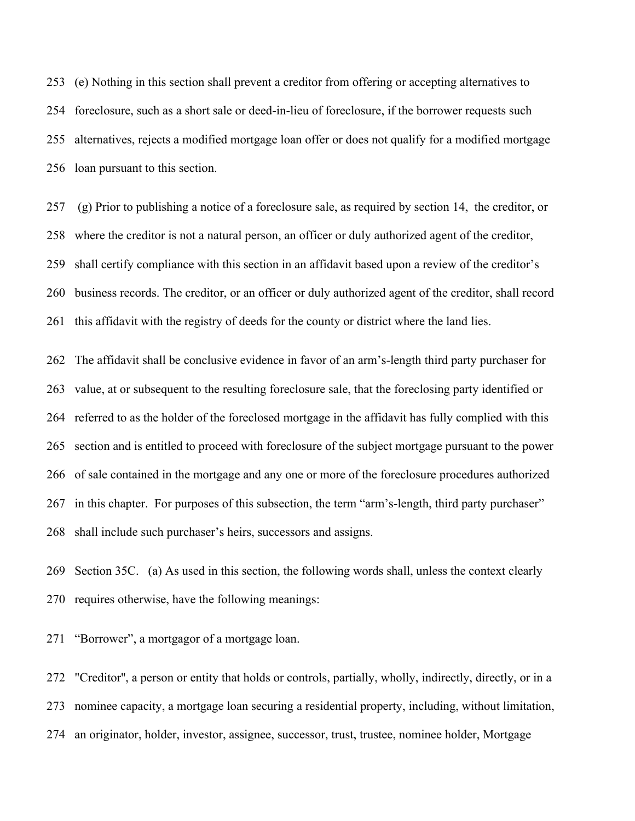(e) Nothing in this section shall prevent a creditor from offering or accepting alternatives to foreclosure, such as a short sale or deed-in-lieu of foreclosure, if the borrower requests such alternatives, rejects a modified mortgage loan offer or does not qualify for a modified mortgage loan pursuant to this section.

 (g) Prior to publishing a notice of a foreclosure sale, as required by section 14, the creditor, or where the creditor is not a natural person, an officer or duly authorized agent of the creditor, shall certify compliance with this section in an affidavit based upon a review of the creditor's business records. The creditor, or an officer or duly authorized agent of the creditor, shall record this affidavit with the registry of deeds for the county or district where the land lies.

 The affidavit shall be conclusive evidence in favor of an arm's-length third party purchaser for value, at or subsequent to the resulting foreclosure sale, that the foreclosing party identified or referred to as the holder of the foreclosed mortgage in the affidavit has fully complied with this section and is entitled to proceed with foreclosure of the subject mortgage pursuant to the power of sale contained in the mortgage and any one or more of the foreclosure procedures authorized in this chapter. For purposes of this subsection, the term "arm's-length, third party purchaser" shall include such purchaser's heirs, successors and assigns.

 Section 35C. (a) As used in this section, the following words shall, unless the context clearly requires otherwise, have the following meanings:

"Borrower", a mortgagor of a mortgage loan.

 "Creditor'', a person or entity that holds or controls, partially, wholly, indirectly, directly, or in a nominee capacity, a mortgage loan securing a residential property, including, without limitation, an originator, holder, investor, assignee, successor, trust, trustee, nominee holder, Mortgage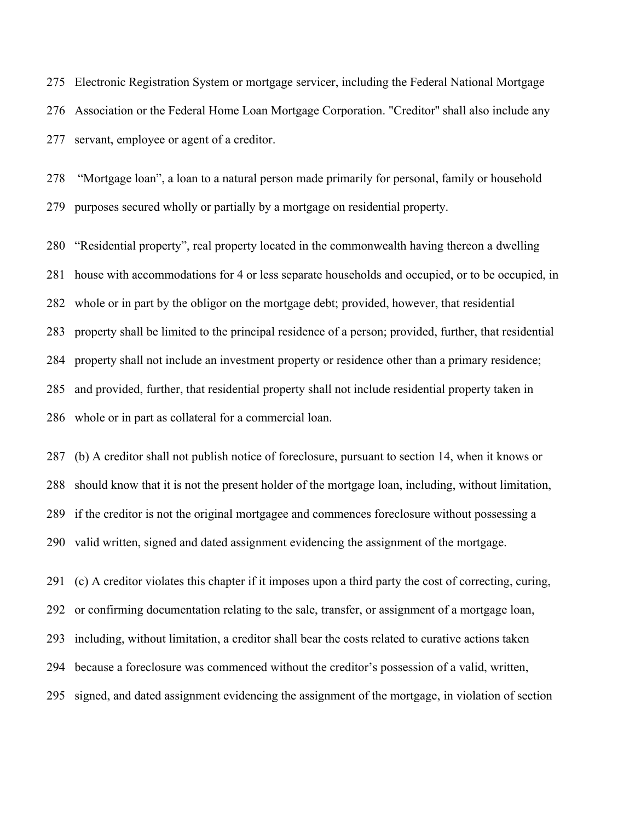Electronic Registration System or mortgage servicer, including the Federal National Mortgage Association or the Federal Home Loan Mortgage Corporation. "Creditor'' shall also include any servant, employee or agent of a creditor.

 "Mortgage loan", a loan to a natural person made primarily for personal, family or household purposes secured wholly or partially by a mortgage on residential property.

 "Residential property", real property located in the commonwealth having thereon a dwelling house with accommodations for 4 or less separate households and occupied, or to be occupied, in whole or in part by the obligor on the mortgage debt; provided, however, that residential property shall be limited to the principal residence of a person; provided, further, that residential 284 property shall not include an investment property or residence other than a primary residence; and provided, further, that residential property shall not include residential property taken in whole or in part as collateral for a commercial loan.

 (b) A creditor shall not publish notice of foreclosure, pursuant to section 14, when it knows or should know that it is not the present holder of the mortgage loan, including, without limitation, if the creditor is not the original mortgagee and commences foreclosure without possessing a valid written, signed and dated assignment evidencing the assignment of the mortgage.

 (c) A creditor violates this chapter if it imposes upon a third party the cost of correcting, curing, or confirming documentation relating to the sale, transfer, or assignment of a mortgage loan, including, without limitation, a creditor shall bear the costs related to curative actions taken because a foreclosure was commenced without the creditor's possession of a valid, written, signed, and dated assignment evidencing the assignment of the mortgage, in violation of section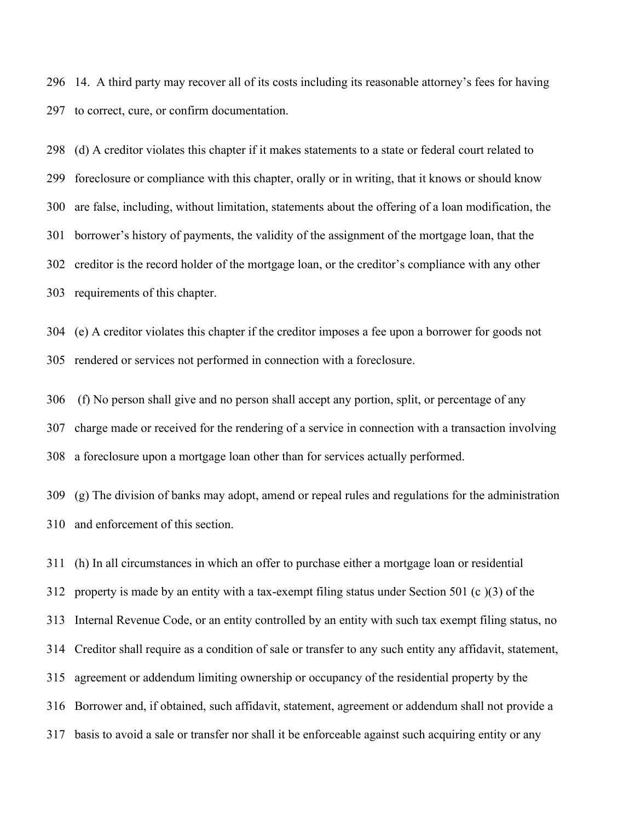14. A third party may recover all of its costs including its reasonable attorney's fees for having to correct, cure, or confirm documentation.

 (d) A creditor violates this chapter if it makes statements to a state or federal court related to foreclosure or compliance with this chapter, orally or in writing, that it knows or should know are false, including, without limitation, statements about the offering of a loan modification, the borrower's history of payments, the validity of the assignment of the mortgage loan, that the creditor is the record holder of the mortgage loan, or the creditor's compliance with any other requirements of this chapter.

 (e) A creditor violates this chapter if the creditor imposes a fee upon a borrower for goods not rendered or services not performed in connection with a foreclosure.

 (f) No person shall give and no person shall accept any portion, split, or percentage of any charge made or received for the rendering of a service in connection with a transaction involving a foreclosure upon a mortgage loan other than for services actually performed.

 (g) The division of banks may adopt, amend or repeal rules and regulations for the administration and enforcement of this section.

 (h) In all circumstances in which an offer to purchase either a mortgage loan or residential property is made by an entity with a tax-exempt filing status under Section 501 (c )(3) of the Internal Revenue Code, or an entity controlled by an entity with such tax exempt filing status, no Creditor shall require as a condition of sale or transfer to any such entity any affidavit, statement, agreement or addendum limiting ownership or occupancy of the residential property by the Borrower and, if obtained, such affidavit, statement, agreement or addendum shall not provide a basis to avoid a sale or transfer nor shall it be enforceable against such acquiring entity or any